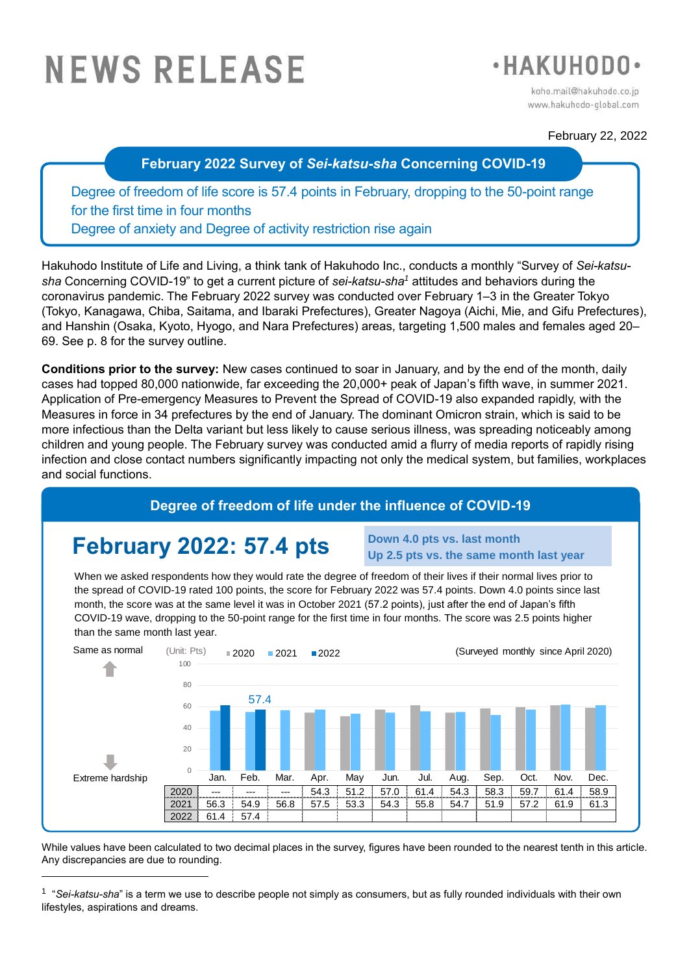# **NEWS RELEASE**



koho.mail@hakuhodo.co.jp www.hakuhodo-global.com

#### February 22, 2022

**February 2022 Survey of** *Sei-katsu-sha* **Concerning COVID-19**

Degree of freedom of life score is 57.4 points in February, dropping to the 50-point range for the first time in four months Degree of anxiety and Degree of activity restriction rise again

Hakuhodo Institute of Life and Living, a think tank of Hakuhodo Inc., conducts a monthly "Survey of *Sei-katsusha* Concerning COVID-19" to get a current picture of *sei-katsu-sha<sup>1</sup>* attitudes and behaviors during the coronavirus pandemic. The February 2022 survey was conducted over February 1–3 in the Greater Tokyo (Tokyo, Kanagawa, Chiba, Saitama, and Ibaraki Prefectures), Greater Nagoya (Aichi, Mie, and Gifu Prefectures), and Hanshin (Osaka, Kyoto, Hyogo, and Nara Prefectures) areas, targeting 1,500 males and females aged 20– 69. See p. 8 for the survey outline.

**Conditions prior to the survey:** New cases continued to soar in January, and by the end of the month, daily cases had topped 80,000 nationwide, far exceeding the 20,000+ peak of Japan's fifth wave, in summer 2021. Application of Pre-emergency Measures to Prevent the Spread of COVID-19 also expanded rapidly, with the Measures in force in 34 prefectures by the end of January. The dominant Omicron strain, which is said to be more infectious than the Delta variant but less likely to cause serious illness, was spreading noticeably among children and young people. The February survey was conducted amid a flurry of media reports of rapidly rising infection and close contact numbers significantly impacting not only the medical system, but families, workplaces and social functions.

# **Degree of freedom of life under the influence of COVID-19**

# **February 2022: 57.4 pts**

-

**Down 4.0 pts vs. last month Up 2.5 pts vs. the same month last year**

When we asked respondents how they would rate the degree of freedom of their lives if their normal lives prior to the spread of COVID-19 rated 100 points, the score for February 2022 was 57.4 points. Down 4.0 points since last month, the score was at the same level it was in October 2021 (57.2 points), just after the end of Japan's fifth COVID-19 wave, dropping to the 50-point range for the first time in four months. The score was 2.5 points higher than the same month last year.



While values have been calculated to two decimal places in the survey, figures have been rounded to the nearest tenth in this article. Any discrepancies are due to rounding.

1 "*Sei-katsu-sha*" is a term we use to describe people not simply as consumers, but as fully rounded individuals with their own lifestyles, aspirations and dreams.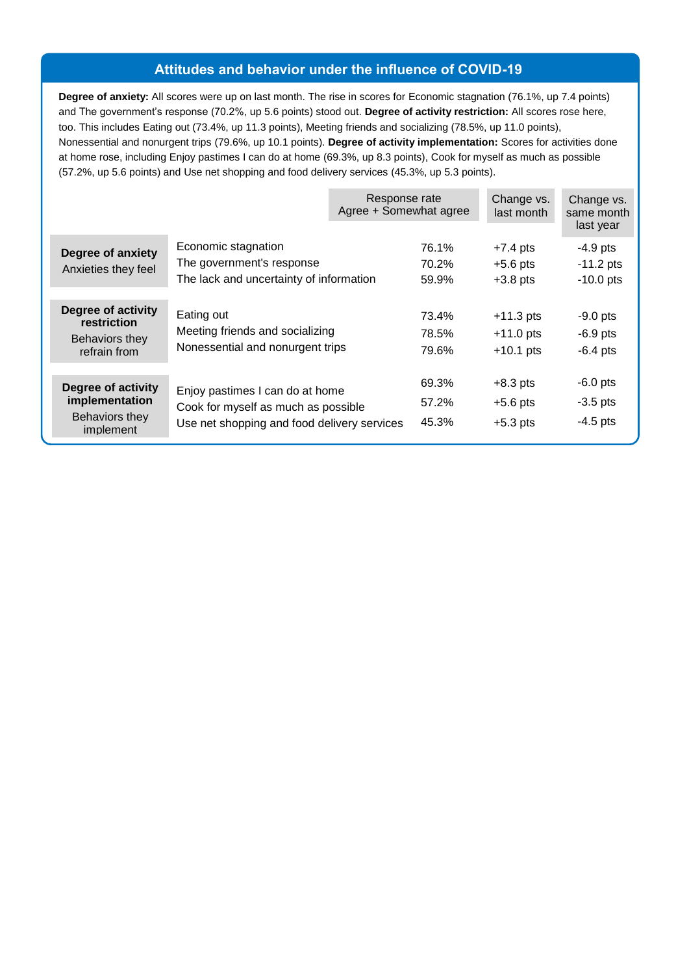## **Attitudes and behavior under the influence of COVID-19**

**Degree of anxiety:** All scores were up on last month. The rise in scores for Economic stagnation (76.1%, up 7.4 points) and The government's response (70.2%, up 5.6 points) stood out. **Degree of activity restriction:** All scores rose here, too. This includes Eating out (73.4%, up 11.3 points), Meeting friends and socializing (78.5%, up 11.0 points), Nonessential and nonurgent trips (79.6%, up 10.1 points). **Degree of activity implementation:** Scores for activities done at home rose, including Enjoy pastimes I can do at home (69.3%, up 8.3 points), Cook for myself as much as possible (57.2%, up 5.6 points) and Use net shopping and food delivery services (45.3%, up 5.3 points).

|                                                                            |                                                                                                                       | Response rate<br>Agree + Somewhat agree |                         | Change vs.<br>last month                  | Change vs.<br>same month<br>last year    |
|----------------------------------------------------------------------------|-----------------------------------------------------------------------------------------------------------------------|-----------------------------------------|-------------------------|-------------------------------------------|------------------------------------------|
| Degree of anxiety<br>Anxieties they feel                                   | Economic stagnation<br>The government's response<br>The lack and uncertainty of information                           |                                         | 76.1%<br>70.2%<br>59.9% | $+7.4$ pts<br>$+5.6$ pts<br>$+3.8$ pts    | $-4.9$ pts<br>$-11.2$ pts<br>$-10.0$ pts |
| Degree of activity<br><b>restriction</b><br>Behaviors they<br>refrain from | Eating out<br>Meeting friends and socializing<br>Nonessential and nonurgent trips                                     |                                         | 73.4%<br>78.5%<br>79.6% | $+11.3$ pts<br>$+11.0$ pts<br>$+10.1$ pts | $-9.0$ pts<br>$-6.9$ pts<br>$-6.4$ pts   |
| Degree of activity<br>implementation<br>Behaviors they<br>implement        | Enjoy pastimes I can do at home<br>Cook for myself as much as possible<br>Use net shopping and food delivery services |                                         | 69.3%<br>57.2%<br>45.3% | $+8.3$ pts<br>$+5.6$ pts<br>$+5.3$ pts    | $-6.0$ pts<br>$-3.5$ pts<br>$-4.5$ pts   |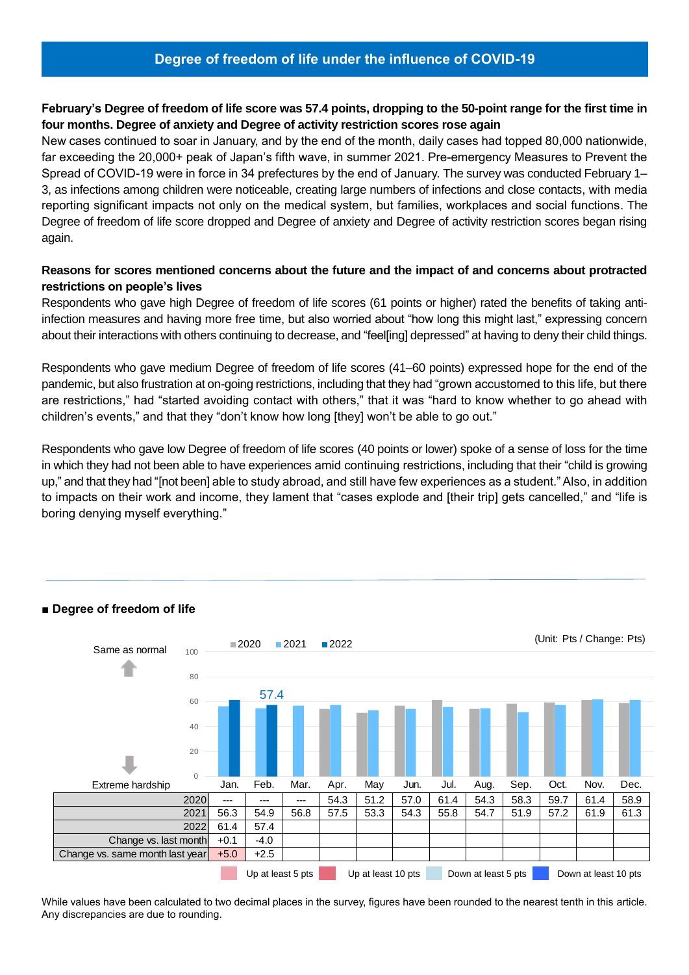# **Degree of freedom of life under the influence of COVID-19**

#### **February's Degree of freedom of life score was 57.4 points, dropping to the 50-point range for the first time in four months. Degree of anxiety and Degree of activity restriction scores rose again**

New cases continued to soar in January, and by the end of the month, daily cases had topped 80,000 nationwide, far exceeding the 20,000+ peak of Japan's fifth wave, in summer 2021. Pre-emergency Measures to Prevent the Spread of COVID-19 were in force in 34 prefectures by the end of January. The survey was conducted February 1– 3, as infections among children were noticeable, creating large numbers of infections and close contacts, with media reporting significant impacts not only on the medical system, but families, workplaces and social functions. The Degree of freedom of life score dropped and Degree of anxiety and Degree of activity restriction scores began rising again.

#### **Reasons for scores mentioned concerns about the future and the impact of and concerns about protracted restrictions on people's lives**

Respondents who gave high Degree of freedom of life scores (61 points or higher) rated the benefits of taking antiinfection measures and having more free time, but also worried about "how long this might last," expressing concern about their interactions with others continuing to decrease, and "feel[ing] depressed" at having to deny their child things.

Respondents who gave medium Degree of freedom of life scores (41–60 points) expressed hope for the end of the pandemic, but also frustration at on-going restrictions, including that they had "grown accustomed to this life, but there are restrictions," had "started avoiding contact with others," that it was "hard to know whether to go ahead with children's events," and that they "don't know how long [they] won't be able to go out."

Respondents who gave low Degree of freedom of life scores (40 points or lower) spoke of a sense of loss for the time in which they had not been able to have experiences amid continuing restrictions, including that their "child is growing up," and that they had "[not been] able to study abroad, and still have few experiences as a student." Also, in addition to impacts on their work and income, they lament that "cases explode and [their trip] gets cancelled," and "life is boring denying myself everything."



#### **■ Degree of freedom of life**

While values have been calculated to two decimal places in the survey, figures have been rounded to the nearest tenth in this article. Any discrepancies are due to rounding.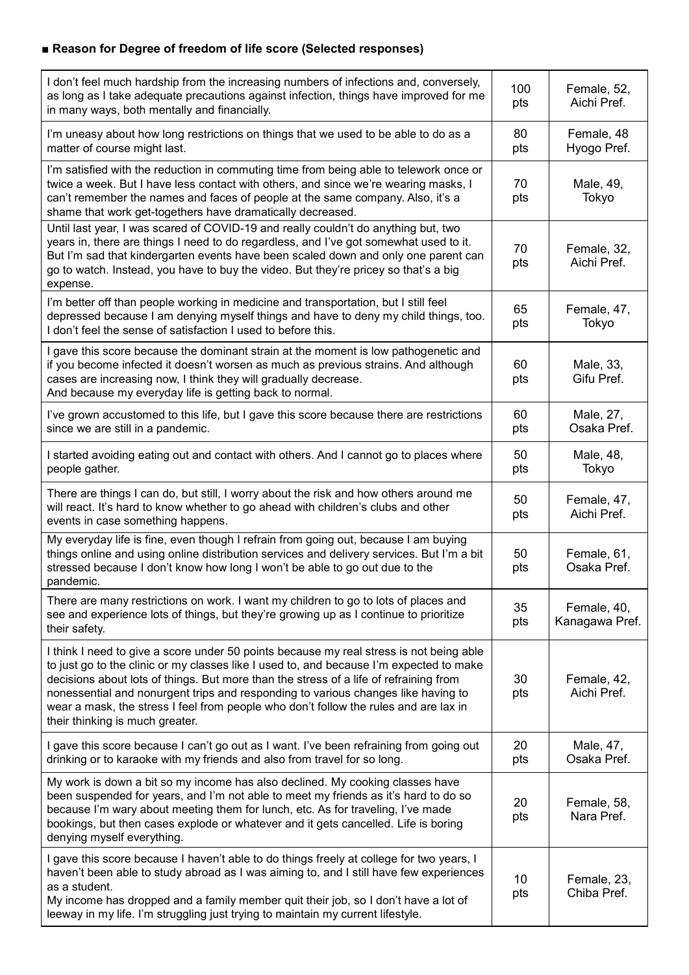# **■ Reason for Degree of freedom of life score (Selected responses)**

| I don't feel much hardship from the increasing numbers of infections and, conversely,<br>as long as I take adequate precautions against infection, things have improved for me<br>in many ways, both mentally and financially.                                                                                                                                                                                                                                                              | 100<br>pts | Female, 52,<br>Aichi Pref.    |
|---------------------------------------------------------------------------------------------------------------------------------------------------------------------------------------------------------------------------------------------------------------------------------------------------------------------------------------------------------------------------------------------------------------------------------------------------------------------------------------------|------------|-------------------------------|
| I'm uneasy about how long restrictions on things that we used to be able to do as a<br>matter of course might last.                                                                                                                                                                                                                                                                                                                                                                         | 80<br>pts  | Female, 48<br>Hyogo Pref.     |
| I'm satisfied with the reduction in commuting time from being able to telework once or<br>twice a week. But I have less contact with others, and since we're wearing masks, I<br>can't remember the names and faces of people at the same company. Also, it's a<br>shame that work get-togethers have dramatically decreased.                                                                                                                                                               | 70<br>pts  | Male, 49,<br>Tokyo            |
| Until last year, I was scared of COVID-19 and really couldn't do anything but, two<br>years in, there are things I need to do regardless, and I've got somewhat used to it.<br>But I'm sad that kindergarten events have been scaled down and only one parent can<br>go to watch. Instead, you have to buy the video. But they're pricey so that's a big<br>expense.                                                                                                                        | 70<br>pts  | Female, 32,<br>Aichi Pref.    |
| I'm better off than people working in medicine and transportation, but I still feel<br>depressed because I am denying myself things and have to deny my child things, too.<br>I don't feel the sense of satisfaction I used to before this.                                                                                                                                                                                                                                                 | 65<br>pts  | Female, 47,<br>Tokyo          |
| I gave this score because the dominant strain at the moment is low pathogenetic and<br>if you become infected it doesn't worsen as much as previous strains. And although<br>cases are increasing now, I think they will gradually decrease.<br>And because my everyday life is getting back to normal.                                                                                                                                                                                     | 60<br>pts  | Male, 33,<br>Gifu Pref.       |
| I've grown accustomed to this life, but I gave this score because there are restrictions<br>since we are still in a pandemic.                                                                                                                                                                                                                                                                                                                                                               | 60<br>pts  | Male, 27,<br>Osaka Pref.      |
| I started avoiding eating out and contact with others. And I cannot go to places where<br>people gather.                                                                                                                                                                                                                                                                                                                                                                                    | 50<br>pts  | Male, 48,<br>Tokyo            |
| There are things I can do, but still, I worry about the risk and how others around me<br>will react. It's hard to know whether to go ahead with children's clubs and other<br>events in case something happens.                                                                                                                                                                                                                                                                             | 50<br>pts  | Female, 47,<br>Aichi Pref.    |
| My everyday life is fine, even though I refrain from going out, because I am buying<br>things online and using online distribution services and delivery services. But I'm a bit<br>stressed because I don't know how long I won't be able to go out due to the<br>pandemic.                                                                                                                                                                                                                | 50<br>pts  | Female, 61,<br>Osaka Pref.    |
| There are many restrictions on work. I want my children to go to lots of places and<br>see and experience lots of things, but they're growing up as I continue to prioritize<br>their safety.                                                                                                                                                                                                                                                                                               | 35<br>pts  | Female, 40,<br>Kanagawa Pref. |
| I think I need to give a score under 50 points because my real stress is not being able<br>to just go to the clinic or my classes like I used to, and because I'm expected to make<br>decisions about lots of things. But more than the stress of a life of refraining from<br>nonessential and nonurgent trips and responding to various changes like having to<br>wear a mask, the stress I feel from people who don't follow the rules and are lax in<br>their thinking is much greater. | 30<br>pts  | Female, 42,<br>Aichi Pref.    |
| I gave this score because I can't go out as I want. I've been refraining from going out<br>drinking or to karaoke with my friends and also from travel for so long.                                                                                                                                                                                                                                                                                                                         | 20<br>pts  | Male, 47,<br>Osaka Pref.      |
| My work is down a bit so my income has also declined. My cooking classes have<br>been suspended for years, and I'm not able to meet my friends as it's hard to do so<br>because I'm wary about meeting them for lunch, etc. As for traveling, I've made<br>bookings, but then cases explode or whatever and it gets cancelled. Life is boring<br>denying myself everything.                                                                                                                 | 20<br>pts  | Female, 58,<br>Nara Pref.     |
| I gave this score because I haven't able to do things freely at college for two years, I<br>haven't been able to study abroad as I was aiming to, and I still have few experiences<br>as a student.<br>My income has dropped and a family member quit their job, so I don't have a lot of<br>leeway in my life. I'm struggling just trying to maintain my current lifestyle.                                                                                                                | 10<br>pts  | Female, 23,<br>Chiba Pref.    |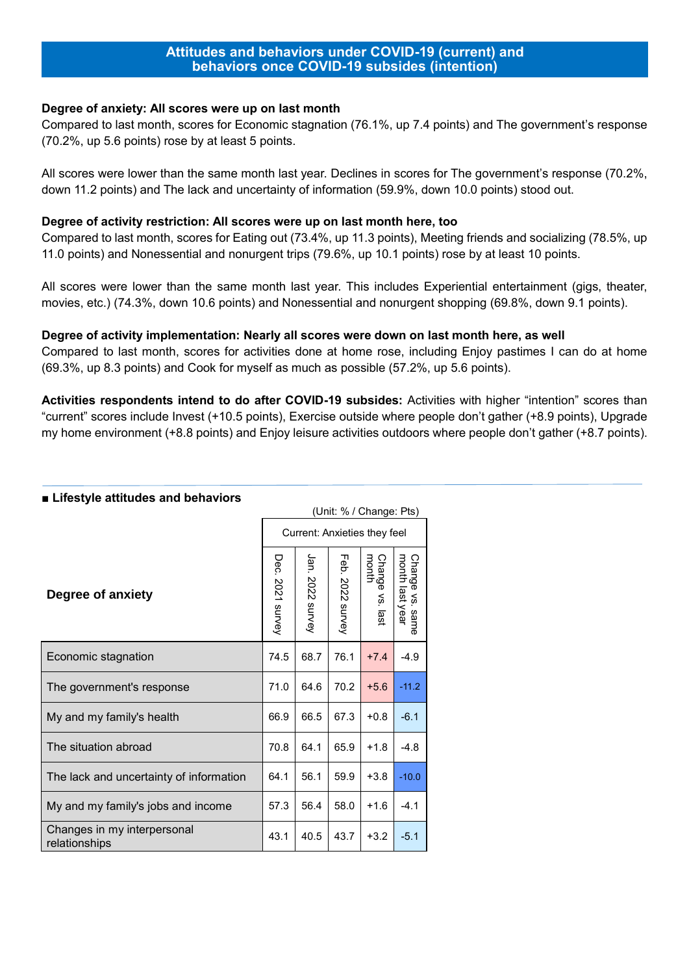#### **Attitudes and behaviors under COVID-19 (current) and behaviors once COVID-19 subsides (intention)**

#### **Degree of anxiety: All scores were up on last month**

Compared to last month, scores for Economic stagnation (76.1%, up 7.4 points) and The government's response (70.2%, up 5.6 points) rose by at least 5 points.

All scores were lower than the same month last year. Declines in scores for The government's response (70.2%, down 11.2 points) and The lack and uncertainty of information (59.9%, down 10.0 points) stood out.

#### **Degree of activity restriction: All scores were up on last month here, too**

Compared to last month, scores for Eating out (73.4%, up 11.3 points), Meeting friends and socializing (78.5%, up 11.0 points) and Nonessential and nonurgent trips (79.6%, up 10.1 points) rose by at least 10 points.

All scores were lower than the same month last year. This includes Experiential entertainment (gigs, theater, movies, etc.) (74.3%, down 10.6 points) and Nonessential and nonurgent shopping (69.8%, down 9.1 points).

#### **Degree of activity implementation: Nearly all scores were down on last month here, as well**

Compared to last month, scores for activities done at home rose, including Enjoy pastimes I can do at home (69.3%, up 8.3 points) and Cook for myself as much as possible (57.2%, up 5.6 points).

**Activities respondents intend to do after COVID-19 subsides:** Activities with higher "intention" scores than "current" scores include Invest (+10.5 points), Exercise outside where people don't gather (+8.9 points), Upgrade my home environment (+8.8 points) and Enjoy leisure activities outdoors where people don't gather (+8.7 points).

|                                              |                  |                  |                        | (Unit: % / Change: Pts)      |                                    |
|----------------------------------------------|------------------|------------------|------------------------|------------------------------|------------------------------------|
|                                              |                  |                  |                        | Current: Anxieties they feel |                                    |
| Degree of anxiety                            | Dec. 2021 survey | Jan. 2022 survey | Feb.<br>2022<br>survey | Change vs. last<br>month     | Change vs. same<br>month last year |
| Economic stagnation                          | 74.5             | 68.7             | 76.1                   | $+7.4$                       | $-4.9$                             |
| The government's response                    | 71.0             | 64.6             | 70.2                   | $+5.6$                       | $-11.2$                            |
| My and my family's health                    | 66.9             | 66.5             | 67.3                   | $+0.8$                       | $-6.1$                             |
| The situation abroad                         | 70.8             | 64.1             | 65.9                   | $+1.8$                       | $-4.8$                             |
| The lack and uncertainty of information      | 64.1             | 56.1             | 59.9                   | $+3.8$                       | $-10.0$                            |
| My and my family's jobs and income           | 57.3             | 56.4             | 58.0                   | $+1.6$                       | $-4.1$                             |
| Changes in my interpersonal<br>relationships | 43.1             | 40.5             | 43.7                   | $+3.2$                       | $-5.1$                             |

#### **■ Lifestyle attitudes and behaviors**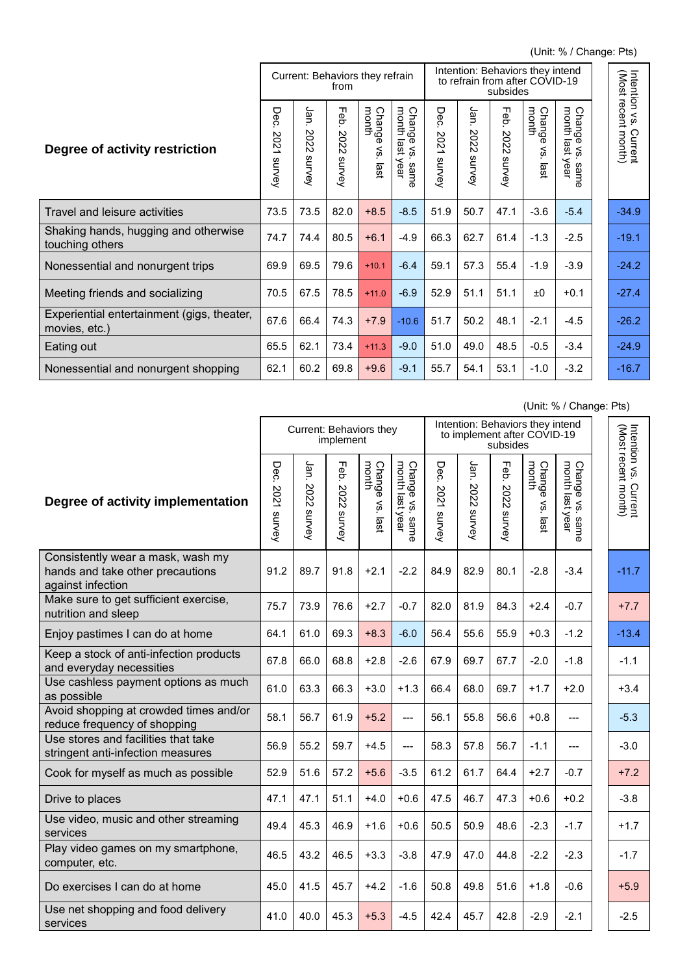(Unit: % / Change: Pts)

|                                                             |                                                            | Intention: Behaviors they intend<br>Current: Behaviors they refrain<br>to refrain from after COVID-19<br>from<br>subsides |                                              |                               |                                                                    |                           |                            | Intention vs.                                      |                                           |                                                                           |                                |
|-------------------------------------------------------------|------------------------------------------------------------|---------------------------------------------------------------------------------------------------------------------------|----------------------------------------------|-------------------------------|--------------------------------------------------------------------|---------------------------|----------------------------|----------------------------------------------------|-------------------------------------------|---------------------------------------------------------------------------|--------------------------------|
| Degree of activity restriction                              | ە<br>0<br>Ō<br>8<br>$\overline{\mathsf{c}}$<br>∸<br>survey | Jan<br>SO<br>Ñ<br>$\sim$<br>w<br>survey                                                                                   | ᆩ<br>ëp.<br>202<br>$\mathsf{\sim}$<br>survey | Change<br>month<br>ζ,<br>isal | month<br>Chang<br>$\sigma$<br>last<br>$\,<\,$<br>m<br>year<br>same | Dec<br>202<br>∸<br>survey | Jan.<br>202<br>Ñ<br>survey | ᆩ<br>ëp.<br>202<br>$\mathbf{\mathsf{N}}$<br>survey | month<br>Chang<br>$\sigma$<br>∕'s<br>last | month<br>Cha<br>ā<br><b>O</b><br>ഩ<br>$\,<\,$<br>ធ្ន<br>m<br>year<br>same | (Most recent month)<br>Current |
| Travel and leisure activities                               | 73.5                                                       | 73.5                                                                                                                      | 82.0                                         | $+8.5$                        | $-8.5$                                                             | 51.9                      | 50.7                       | 47.1                                               | $-3.6$                                    | $-5.4$                                                                    | $-34.9$                        |
| Shaking hands, hugging and otherwise<br>touching others     | 74.7                                                       | 74.4                                                                                                                      | 80.5                                         | $+6.1$                        | $-4.9$                                                             | 66.3                      | 62.7                       | 61.4                                               | $-1.3$                                    | $-2.5$                                                                    | $-19.1$                        |
| Nonessential and nonurgent trips                            | 69.9                                                       | 69.5                                                                                                                      | 79.6                                         | $+10.1$                       | $-6.4$                                                             | 59.1                      | 57.3                       | 55.4                                               | $-1.9$                                    | $-3.9$                                                                    | $-24.2$                        |
| Meeting friends and socializing                             | 70.5                                                       | 67.5                                                                                                                      | 78.5                                         | $+11.0$                       | $-6.9$                                                             | 52.9                      | 51.1                       | 51.1                                               | ±0                                        | $+0.1$                                                                    | $-27.4$                        |
| Experiential entertainment (gigs, theater,<br>movies, etc.) | 67.6                                                       | 66.4                                                                                                                      | 74.3                                         | $+7.9$                        | $-10.6$                                                            | 51.7                      | 50.2                       | 48.1                                               | $-2.1$                                    | $-4.5$                                                                    | $-26.2$                        |
| Eating out                                                  | 65.5                                                       | 62.1                                                                                                                      | 73.4                                         | $+11.3$                       | $-9.0$                                                             | 51.0                      | 49.0                       | 48.5                                               | $-0.5$                                    | $-3.4$                                                                    | $-24.9$                        |
| Nonessential and nonurgent shopping                         | 62.1                                                       | 60.2                                                                                                                      | 69.8                                         | $+9.6$                        | $-9.1$                                                             | 55.7                      | 54.1                       | 53.1                                               | $-1.0$                                    | $-3.2$                                                                    | $-16.7$                        |

(Unit: % / Change: Pts)

|                                                                                            |                       | Current: Behaviors they | implement              |                             |                                                 | Intention: Behaviors they intend<br>to implement after COVID-19<br>subsides |                        |                        |                                      |                                            |  | Intention vs.                                |
|--------------------------------------------------------------------------------------------|-----------------------|-------------------------|------------------------|-----------------------------|-------------------------------------------------|-----------------------------------------------------------------------------|------------------------|------------------------|--------------------------------------|--------------------------------------------|--|----------------------------------------------|
| Degree of activity implementation                                                          | Dec<br>2021<br>survey | Jan.<br>2022<br>survey  | Feb.<br>2022<br>survey | Change<br>month<br>vs. last | Change vs.<br>month last y<br>last year<br>same | Dec<br>2021<br>survey                                                       | Jan.<br>2022<br>survey | Feb.<br>2022<br>survey | Change<br>month<br>Š.<br><b>last</b> | Change vs. san<br>month last year<br>same. |  | Intention vs. Current<br>(Most recent month) |
| Consistently wear a mask, wash my<br>hands and take other precautions<br>against infection | 91.2                  | 89.7                    | 91.8                   | $+2.1$                      | $-2.2$                                          | 84.9                                                                        | 82.9                   | 80.1                   | $-2.8$                               | $-3.4$                                     |  | $-11.7$                                      |
| Make sure to get sufficient exercise,<br>nutrition and sleep                               | 75.7                  | 73.9                    | 76.6                   | $+2.7$                      | $-0.7$                                          | 82.0                                                                        | 81.9                   | 84.3                   | $+2.4$                               | $-0.7$                                     |  | $+7.7$                                       |
| Enjoy pastimes I can do at home                                                            | 64.1                  | 61.0                    | 69.3                   | $+8.3$                      | $-6.0$                                          | 56.4                                                                        | 55.6                   | 55.9                   | $+0.3$                               | $-1.2$                                     |  | $-13.4$                                      |
| Keep a stock of anti-infection products<br>and everyday necessities                        | 67.8                  | 66.0                    | 68.8                   | $+2.8$                      | $-2.6$                                          | 67.9                                                                        | 69.7                   | 67.7                   | $-2.0$                               | $-1.8$                                     |  | $-1.1$                                       |
| Use cashless payment options as much<br>as possible                                        | 61.0                  | 63.3                    | 66.3                   | $+3.0$                      | $+1.3$                                          | 66.4                                                                        | 68.0                   | 69.7                   | $+1.7$                               | $+2.0$                                     |  | $+3.4$                                       |
| Avoid shopping at crowded times and/or<br>reduce frequency of shopping                     | 58.1                  | 56.7                    | 61.9                   | $+5.2$                      | $---$                                           | 56.1                                                                        | 55.8                   | 56.6                   | $+0.8$                               | ---                                        |  | $-5.3$                                       |
| Use stores and facilities that take<br>stringent anti-infection measures                   | 56.9                  | 55.2                    | 59.7                   | $+4.5$                      | ---                                             | 58.3                                                                        | 57.8                   | 56.7                   | $-1.1$                               | ---                                        |  | $-3.0$                                       |
| Cook for myself as much as possible                                                        | 52.9                  | 51.6                    | 57.2                   | $+5.6$                      | $-3.5$                                          | 61.2                                                                        | 61.7                   | 64.4                   | $+2.7$                               | $-0.7$                                     |  | $+7.2$                                       |
| Drive to places                                                                            | 47.1                  | 47.1                    | 51.1                   | $+4.0$                      | $+0.6$                                          | 47.5                                                                        | 46.7                   | 47.3                   | $+0.6$                               | $+0.2$                                     |  | $-3.8$                                       |
| Use video, music and other streaming<br>services                                           | 49.4                  | 45.3                    | 46.9                   | $+1.6$                      | $+0.6$                                          | 50.5                                                                        | 50.9                   | 48.6                   | $-2.3$                               | $-1.7$                                     |  | $+1.7$                                       |
| Play video games on my smartphone,<br>computer, etc.                                       | 46.5                  | 43.2                    | 46.5                   | $+3.3$                      | $-3.8$                                          | 47.9                                                                        | 47.0                   | 44.8                   | $-2.2$                               | $-2.3$                                     |  | $-1.7$                                       |
| Do exercises I can do at home                                                              | 45.0                  | 41.5                    | 45.7                   | $+4.2$                      | $-1.6$                                          | 50.8                                                                        | 49.8                   | 51.6                   | $+1.8$                               | $-0.6$                                     |  | $+5.9$                                       |
| Use net shopping and food delivery<br>services                                             | 41.0                  | 40.0                    | 45.3                   | $+5.3$                      | $-4.5$                                          | 42.4                                                                        | 45.7                   | 42.8                   | $-2.9$                               | $-2.1$                                     |  | $-2.5$                                       |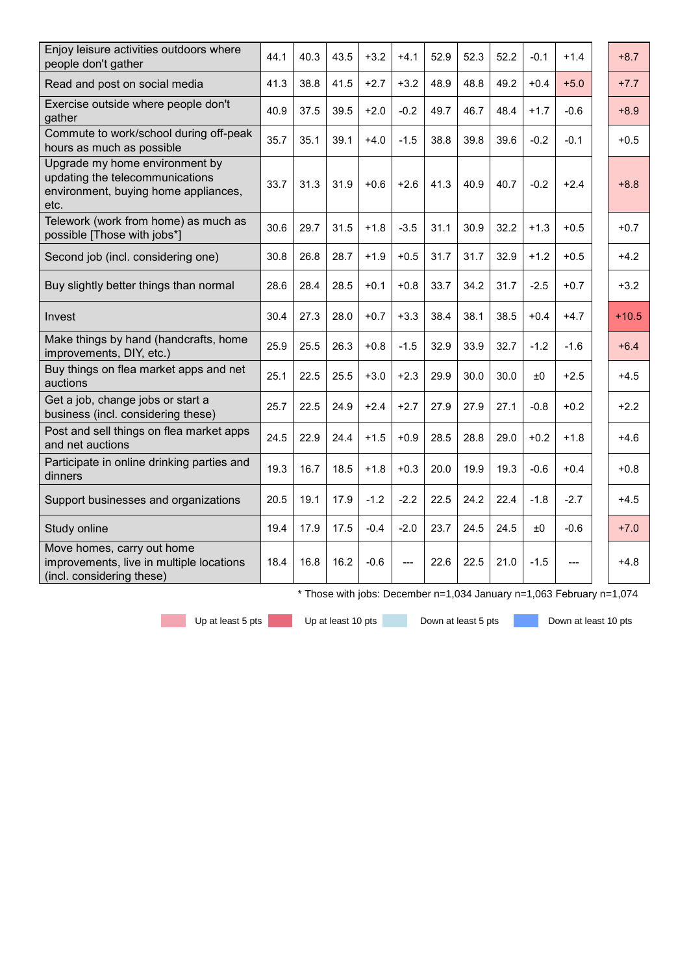| Enjoy leisure activities outdoors where<br>people don't gather                                                    | 44.1 | 40.3 | 43.5 | $+3.2$ | $+4.1$ | 52.9 | 52.3 | 52.2 | $-0.1$ | $+1.4$ | $+8.7$  |
|-------------------------------------------------------------------------------------------------------------------|------|------|------|--------|--------|------|------|------|--------|--------|---------|
| Read and post on social media                                                                                     | 41.3 | 38.8 | 41.5 | $+2.7$ | $+3.2$ | 48.9 | 48.8 | 49.2 | $+0.4$ | $+5.0$ | $+7.7$  |
| Exercise outside where people don't<br>gather                                                                     | 40.9 | 37.5 | 39.5 | $+2.0$ | $-0.2$ | 49.7 | 46.7 | 48.4 | $+1.7$ | $-0.6$ | $+8.9$  |
| Commute to work/school during off-peak<br>hours as much as possible                                               | 35.7 | 35.1 | 39.1 | $+4.0$ | $-1.5$ | 38.8 | 39.8 | 39.6 | $-0.2$ | $-0.1$ | $+0.5$  |
| Upgrade my home environment by<br>updating the telecommunications<br>environment, buying home appliances,<br>etc. | 33.7 | 31.3 | 31.9 | $+0.6$ | $+2.6$ | 41.3 | 40.9 | 40.7 | $-0.2$ | $+2.4$ | $+8.8$  |
| Telework (work from home) as much as<br>possible [Those with jobs*]                                               | 30.6 | 29.7 | 31.5 | $+1.8$ | $-3.5$ | 31.1 | 30.9 | 32.2 | $+1.3$ | $+0.5$ | $+0.7$  |
| Second job (incl. considering one)                                                                                | 30.8 | 26.8 | 28.7 | $+1.9$ | $+0.5$ | 31.7 | 31.7 | 32.9 | $+1.2$ | $+0.5$ | $+4.2$  |
| Buy slightly better things than normal                                                                            | 28.6 | 28.4 | 28.5 | $+0.1$ | $+0.8$ | 33.7 | 34.2 | 31.7 | $-2.5$ | $+0.7$ | $+3.2$  |
| Invest                                                                                                            | 30.4 | 27.3 | 28.0 | $+0.7$ | $+3.3$ | 38.4 | 38.1 | 38.5 | $+0.4$ | $+4.7$ | $+10.5$ |
| Make things by hand (handcrafts, home<br>improvements, DIY, etc.)                                                 | 25.9 | 25.5 | 26.3 | $+0.8$ | $-1.5$ | 32.9 | 33.9 | 32.7 | $-1.2$ | $-1.6$ | $+6.4$  |
| Buy things on flea market apps and net<br>auctions                                                                | 25.1 | 22.5 | 25.5 | $+3.0$ | $+2.3$ | 29.9 | 30.0 | 30.0 | ±0     | $+2.5$ | $+4.5$  |
| Get a job, change jobs or start a<br>business (incl. considering these)                                           | 25.7 | 22.5 | 24.9 | $+2.4$ | $+2.7$ | 27.9 | 27.9 | 27.1 | $-0.8$ | $+0.2$ | $+2.2$  |
| Post and sell things on flea market apps<br>and net auctions                                                      | 24.5 | 22.9 | 24.4 | $+1.5$ | $+0.9$ | 28.5 | 28.8 | 29.0 | $+0.2$ | $+1.8$ | $+4.6$  |
| Participate in online drinking parties and<br>dinners                                                             | 19.3 | 16.7 | 18.5 | $+1.8$ | $+0.3$ | 20.0 | 19.9 | 19.3 | $-0.6$ | $+0.4$ | $+0.8$  |
| Support businesses and organizations                                                                              | 20.5 | 19.1 | 17.9 | $-1.2$ | $-2.2$ | 22.5 | 24.2 | 22.4 | $-1.8$ | $-2.7$ | $+4.5$  |
| Study online                                                                                                      | 19.4 | 17.9 | 17.5 | $-0.4$ | $-2.0$ | 23.7 | 24.5 | 24.5 | ±0     | $-0.6$ | $+7.0$  |
| Move homes, carry out home<br>improvements, live in multiple locations<br>(incl. considering these)               | 18.4 | 16.8 | 16.2 | $-0.6$ |        | 22.6 | 22.5 | 21.0 | $-1.5$ |        | +4.8    |

\* Those with jobs: December n=1,034 January n=1,063 February n=1,074

Up at least 5 pts Up at least 10 pts Down at least 5 pts Down at least 10 pts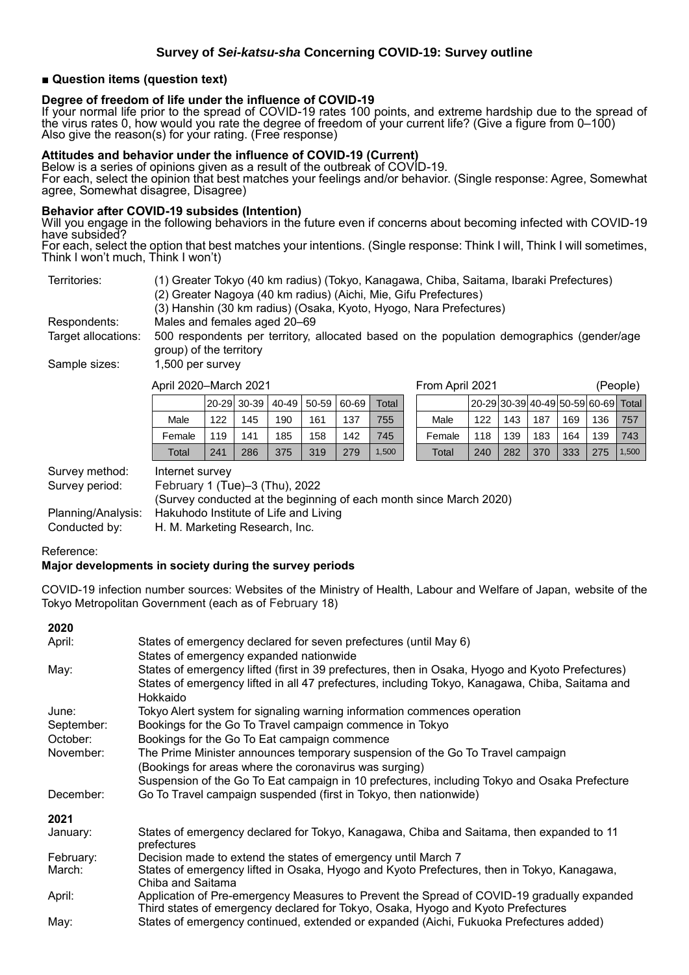#### **■ Question items (question text)**

#### **Degree of freedom of life under the influence of COVID-19**

If your normal life prior to the spread of COVID-19 rates 100 points, and extreme hardship due to the spread of the virus rates 0, how would you rate the degree of freedom of your current life? (Give a figure from 0–100) Also give the reason(s) for your rating. (Free response)

#### **Attitudes and behavior under the influence of COVID-19 (Current)**

Below is a series of opinions given as a result of the outbreak of COVID-19. For each, select the opinion that best matches your feelings and/or behavior. (Single response: Agree, Somewhat agree, Somewhat disagree, Disagree)

#### **Behavior after COVID-19 subsides (Intention)**

Will you engage in the following behaviors in the future even if concerns about becoming infected with COVID-19 have subsided?

For each, select the option that best matches your intentions. (Single response: Think I will, Think I will sometimes, Think l won't much, Think I won't)

| Territories:        | (1) Greater Tokyo (40 km radius) (Tokyo, Kanagawa, Chiba, Saitama, Ibaraki Prefectures)                              |
|---------------------|----------------------------------------------------------------------------------------------------------------------|
|                     | (2) Greater Nagoya (40 km radius) (Aichi, Mie, Gifu Prefectures)                                                     |
|                     | (3) Hanshin (30 km radius) (Osaka, Kyoto, Hyogo, Nara Prefectures)                                                   |
| Respondents:        | Males and females aged 20–69                                                                                         |
| Target allocations: | 500 respondents per territory, allocated based on the population demographics (gender/age<br>group) of the territory |
| Sample sizes:       | 1,500 per survey                                                                                                     |

| April 2020–March 2021 |     |     |     |                                      |     | From April 2021 |        |     |     |     |     | (People)                            |       |
|-----------------------|-----|-----|-----|--------------------------------------|-----|-----------------|--------|-----|-----|-----|-----|-------------------------------------|-------|
|                       |     |     |     | 20-29  30-39   40-49   50-59   60-69 |     | Total           |        |     |     |     |     | 20-29 30-39 40-49 50-59 60-69 Total |       |
| Male                  | 122 | 145 | 190 | 161                                  | 137 | 755             | Male   | 122 | 143 | 187 | 169 | 136                                 | 757   |
| Female                | 119 | 141 | 185 | 158                                  | 142 | 745             | Female | 118 | 139 | 183 | 164 | 139                                 | 743   |
| Total                 | 241 | 286 | 375 | 319                                  | 279 | ,500            | Total  | 240 | 282 | 370 | 333 | 275                                 | 1,500 |

Survey method: Internet survey

Survey period: February 1 (Tue)–3 (Thu), 2022

(Survey conducted at the beginning of each month since March 2020) Planning/Analysis: Hakuhodo Institute of Life and Living Conducted by: H. M. Marketing Research, Inc.

Reference:

#### **Major developments in society during the survey periods**

COVID-19 infection number sources: Websites of the Ministry of Health, Labour and Welfare of Japan, website of the Tokyo Metropolitan Government (each as of February 18)

| 2020       |                                                                                                                                                                                                                 |
|------------|-----------------------------------------------------------------------------------------------------------------------------------------------------------------------------------------------------------------|
| April:     | States of emergency declared for seven prefectures (until May 6)<br>States of emergency expanded nationwide                                                                                                     |
| May:       | States of emergency lifted (first in 39 prefectures, then in Osaka, Hyogo and Kyoto Prefectures)<br>States of emergency lifted in all 47 prefectures, including Tokyo, Kanagawa, Chiba, Saitama and<br>Hokkaido |
| June:      | Tokyo Alert system for signaling warning information commences operation                                                                                                                                        |
| September: | Bookings for the Go To Travel campaign commence in Tokyo                                                                                                                                                        |
| October:   | Bookings for the Go To Eat campaign commence                                                                                                                                                                    |
| November:  | The Prime Minister announces temporary suspension of the Go To Travel campaign<br>(Bookings for areas where the coronavirus was surging)                                                                        |
|            | Suspension of the Go To Eat campaign in 10 prefectures, including Tokyo and Osaka Prefecture                                                                                                                    |
| December:  | Go To Travel campaign suspended (first in Tokyo, then nationwide)                                                                                                                                               |
| 2021       |                                                                                                                                                                                                                 |
| January:   | States of emergency declared for Tokyo, Kanagawa, Chiba and Saitama, then expanded to 11<br>prefectures                                                                                                         |
| February:  | Decision made to extend the states of emergency until March 7                                                                                                                                                   |
| March:     | States of emergency lifted in Osaka, Hyogo and Kyoto Prefectures, then in Tokyo, Kanagawa,<br>Chiba and Saitama                                                                                                 |
| April:     | Application of Pre-emergency Measures to Prevent the Spread of COVID-19 gradually expanded<br>Third states of emergency declared for Tokyo, Osaka, Hyogo and Kyoto Prefectures                                  |
| May:       | States of emergency continued, extended or expanded (Aichi, Fukuoka Prefectures added)                                                                                                                          |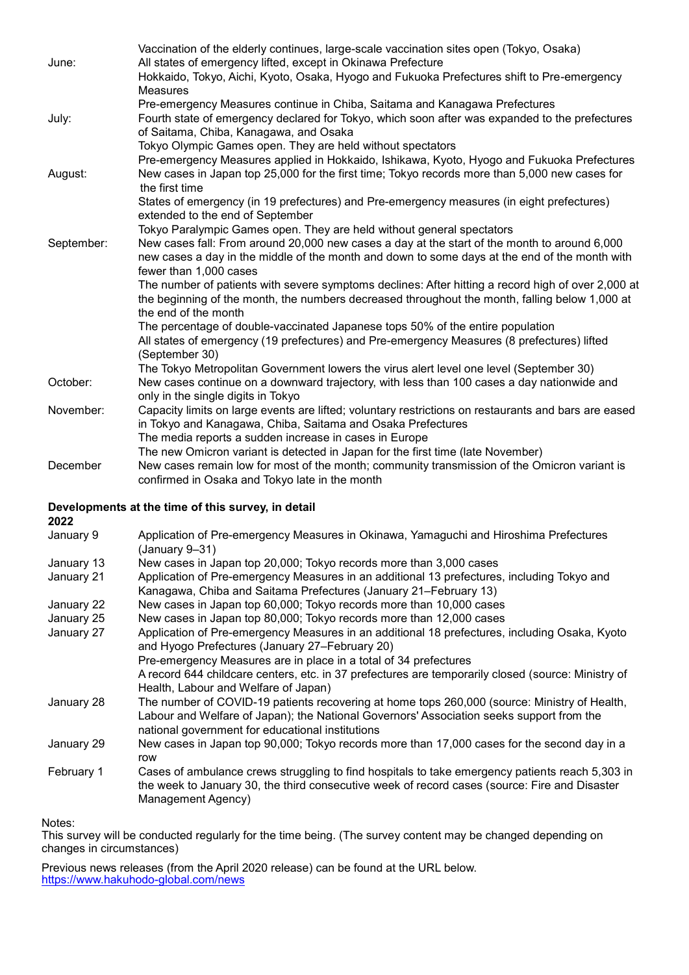|            | Vaccination of the elderly continues, large-scale vaccination sites open (Tokyo, Osaka)                                                  |
|------------|------------------------------------------------------------------------------------------------------------------------------------------|
| June:      | All states of emergency lifted, except in Okinawa Prefecture                                                                             |
|            | Hokkaido, Tokyo, Aichi, Kyoto, Osaka, Hyogo and Fukuoka Prefectures shift to Pre-emergency                                               |
|            | <b>Measures</b>                                                                                                                          |
|            | Pre-emergency Measures continue in Chiba, Saitama and Kanagawa Prefectures                                                               |
| July:      | Fourth state of emergency declared for Tokyo, which soon after was expanded to the prefectures<br>of Saitama, Chiba, Kanagawa, and Osaka |
|            | Tokyo Olympic Games open. They are held without spectators                                                                               |
|            | Pre-emergency Measures applied in Hokkaido, Ishikawa, Kyoto, Hyogo and Fukuoka Prefectures                                               |
| August:    | New cases in Japan top 25,000 for the first time; Tokyo records more than 5,000 new cases for<br>the first time                          |
|            | States of emergency (in 19 prefectures) and Pre-emergency measures (in eight prefectures)<br>extended to the end of September            |
|            | Tokyo Paralympic Games open. They are held without general spectators                                                                    |
| September: | New cases fall: From around 20,000 new cases a day at the start of the month to around 6,000                                             |
|            | new cases a day in the middle of the month and down to some days at the end of the month with                                            |
|            | fewer than 1,000 cases                                                                                                                   |
|            | The number of patients with severe symptoms declines: After hitting a record high of over 2,000 at                                       |
|            | the beginning of the month, the numbers decreased throughout the month, falling below 1,000 at<br>the end of the month                   |
|            | The percentage of double-vaccinated Japanese tops 50% of the entire population                                                           |
|            | All states of emergency (19 prefectures) and Pre-emergency Measures (8 prefectures) lifted<br>(September 30)                             |
|            | The Tokyo Metropolitan Government lowers the virus alert level one level (September 30)                                                  |
| October:   | New cases continue on a downward trajectory, with less than 100 cases a day nationwide and                                               |
|            | only in the single digits in Tokyo                                                                                                       |
| November:  | Capacity limits on large events are lifted; voluntary restrictions on restaurants and bars are eased                                     |
|            | in Tokyo and Kanagawa, Chiba, Saitama and Osaka Prefectures                                                                              |
|            | The media reports a sudden increase in cases in Europe                                                                                   |
|            | The new Omicron variant is detected in Japan for the first time (late November)                                                          |
| December   | New cases remain low for most of the month; community transmission of the Omicron variant is                                             |
|            | confirmed in Osaka and Tokyo late in the month                                                                                           |

#### **Developments at the time of this survey, in detail**

**2022**

| LULL       |                                                                                                                                                                                                                                              |
|------------|----------------------------------------------------------------------------------------------------------------------------------------------------------------------------------------------------------------------------------------------|
| January 9  | Application of Pre-emergency Measures in Okinawa, Yamaguchi and Hiroshima Prefectures<br>(January 9–31)                                                                                                                                      |
| January 13 | New cases in Japan top 20,000; Tokyo records more than 3,000 cases                                                                                                                                                                           |
| January 21 | Application of Pre-emergency Measures in an additional 13 prefectures, including Tokyo and<br>Kanagawa, Chiba and Saitama Prefectures (January 21–February 13)                                                                               |
| January 22 | New cases in Japan top 60,000; Tokyo records more than 10,000 cases                                                                                                                                                                          |
| January 25 | New cases in Japan top 80,000; Tokyo records more than 12,000 cases                                                                                                                                                                          |
| January 27 | Application of Pre-emergency Measures in an additional 18 prefectures, including Osaka, Kyoto<br>and Hyogo Prefectures (January 27-February 20)                                                                                              |
|            | Pre-emergency Measures are in place in a total of 34 prefectures                                                                                                                                                                             |
|            | A record 644 childcare centers, etc. in 37 prefectures are temporarily closed (source: Ministry of<br>Health, Labour and Welfare of Japan)                                                                                                   |
| January 28 | The number of COVID-19 patients recovering at home tops 260,000 (source: Ministry of Health,<br>Labour and Welfare of Japan); the National Governors' Association seeks support from the<br>national government for educational institutions |
| January 29 | New cases in Japan top 90,000; Tokyo records more than 17,000 cases for the second day in a<br>row                                                                                                                                           |
| February 1 | Cases of ambulance crews struggling to find hospitals to take emergency patients reach 5,303 in<br>the week to January 30, the third consecutive week of record cases (source: Fire and Disaster<br>Management Agency)                       |
|            |                                                                                                                                                                                                                                              |

### Notes:

This survey will be conducted regularly for the time being. (The survey content may be changed depending on changes in circumstances)

Previous news releases (from the April 2020 release) can be found at the URL below. <https://www.hakuhodo-global.com/news>